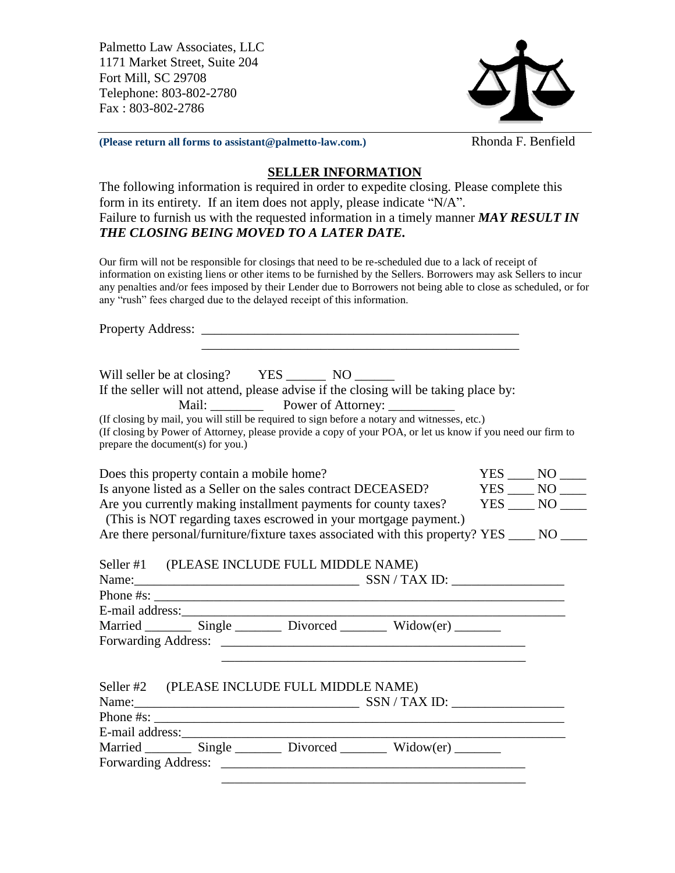Palmetto Law Associates, LLC 1171 Market Street, Suite 204 Fort Mill, SC 29708 Telephone: 803-802-2780 Fax : 803-802-2786



**(Please return all forms to assistant@palmetto-law.com.)** Rhonda F. Benfield

## **SELLER INFORMATION**

The following information is required in order to expedite closing. Please complete this form in its entirety. If an item does not apply, please indicate "N/A". Failure to furnish us with the requested information in a timely manner *MAY RESULT IN THE CLOSING BEING MOVED TO A LATER DATE.* 

Our firm will not be responsible for closings that need to be re-scheduled due to a lack of receipt of information on existing liens or other items to be furnished by the Sellers. Borrowers may ask Sellers to incur any penalties and/or fees imposed by their Lender due to Borrowers not being able to close as scheduled, or for any "rush" fees charged due to the delayed receipt of this information.

Property Address: \_\_\_\_\_\_\_\_\_\_\_\_\_\_\_\_\_\_\_\_\_\_\_\_\_\_\_\_\_\_\_\_\_\_\_\_\_\_\_\_\_\_\_\_\_\_\_\_  $\overline{\phantom{a}}$  , and the contract of the contract of the contract of the contract of the contract of the contract of the contract of the contract of the contract of the contract of the contract of the contract of the contrac Will seller be at closing? YES \_\_\_\_\_\_\_\_ NO If the seller will not attend, please advise if the closing will be taking place by: Mail: \_\_\_\_\_\_\_\_ Power of Attorney: \_\_\_\_\_\_\_\_\_\_ (If closing by mail, you will still be required to sign before a notary and witnesses, etc.) (If closing by Power of Attorney, please provide a copy of your POA, or let us know if you need our firm to prepare the document(s) for you.) Does this property contain a mobile home? YES \_\_\_\_ NO \_\_\_\_ Is anyone listed as a Seller on the sales contract DECEASED? YES \_\_\_\_ NO \_\_\_\_<br>Are you currently making installment payments for county taxes? YES \_\_\_\_ NO \_\_\_\_ Are you currently making installment payments for county taxes? (This is NOT regarding taxes escrowed in your mortgage payment.) Are there personal/furniture/fixture taxes associated with this property? YES \_\_\_\_ NO \_\_\_\_ Seller #1 (PLEASE INCLUDE FULL MIDDLE NAME) Name:\_\_\_\_\_\_\_\_\_\_\_\_\_\_\_\_\_\_\_\_\_\_\_\_\_\_\_\_\_\_\_\_\_\_ SSN / TAX ID: \_\_\_\_\_\_\_\_\_\_\_\_\_\_\_\_\_ Phone #s: \_\_\_\_\_\_\_\_\_\_\_\_\_\_\_\_\_\_\_\_\_\_\_\_\_\_\_\_\_\_\_\_\_\_\_\_\_\_\_\_\_\_\_\_\_\_\_\_\_\_\_\_\_\_\_\_\_\_\_\_\_\_ E-mail address:\_\_\_\_\_\_\_\_\_\_\_\_\_\_\_\_\_\_\_\_\_\_\_\_\_\_\_\_\_\_\_\_\_\_\_\_\_\_\_\_\_\_\_\_\_\_\_\_\_\_\_\_\_\_\_\_\_\_ Married \_\_\_\_\_\_\_\_ Single \_\_\_\_\_\_\_\_ Divorced \_\_\_\_\_\_\_\_ Widow(er) \_\_\_\_\_\_\_\_ Forwarding Address: \_\_\_\_\_\_\_\_\_\_\_\_\_\_\_\_\_\_\_\_\_\_\_\_\_\_\_\_\_\_\_\_\_\_\_\_\_\_\_\_\_\_\_\_\_\_  $\overline{\phantom{a}}$  ,  $\overline{\phantom{a}}$  ,  $\overline{\phantom{a}}$  ,  $\overline{\phantom{a}}$  ,  $\overline{\phantom{a}}$  ,  $\overline{\phantom{a}}$  ,  $\overline{\phantom{a}}$  ,  $\overline{\phantom{a}}$  ,  $\overline{\phantom{a}}$  ,  $\overline{\phantom{a}}$  ,  $\overline{\phantom{a}}$  ,  $\overline{\phantom{a}}$  ,  $\overline{\phantom{a}}$  ,  $\overline{\phantom{a}}$  ,  $\overline{\phantom{a}}$  ,  $\overline{\phantom{a}}$ Seller #2 (PLEASE INCLUDE FULL MIDDLE NAME) Name:\_\_\_\_\_\_\_\_\_\_\_\_\_\_\_\_\_\_\_\_\_\_\_\_\_\_\_\_\_\_\_\_\_\_ SSN / TAX ID: \_\_\_\_\_\_\_\_\_\_\_\_\_\_\_\_\_ Phone  $\#s$ : E-mail address:\_\_\_\_\_\_\_\_\_\_\_\_\_\_\_\_\_\_\_\_\_\_\_\_\_\_\_\_\_\_\_\_\_\_\_\_\_\_\_\_\_\_\_\_\_\_\_\_\_\_\_\_\_\_\_\_\_\_ Married \_\_\_\_\_\_\_\_ Single \_\_\_\_\_\_\_\_ Divorced \_\_\_\_\_\_\_\_ Widow(er) \_\_\_\_\_\_\_ Forwarding Address: \_\_\_\_\_\_\_\_\_\_\_\_\_\_\_\_\_\_\_\_\_\_\_\_\_\_\_\_\_\_\_\_\_\_\_\_\_\_\_\_\_\_\_\_\_\_ \_\_\_\_\_\_\_\_\_\_\_\_\_\_\_\_\_\_\_\_\_\_\_\_\_\_\_\_\_\_\_\_\_\_\_\_\_\_\_\_\_\_\_\_\_\_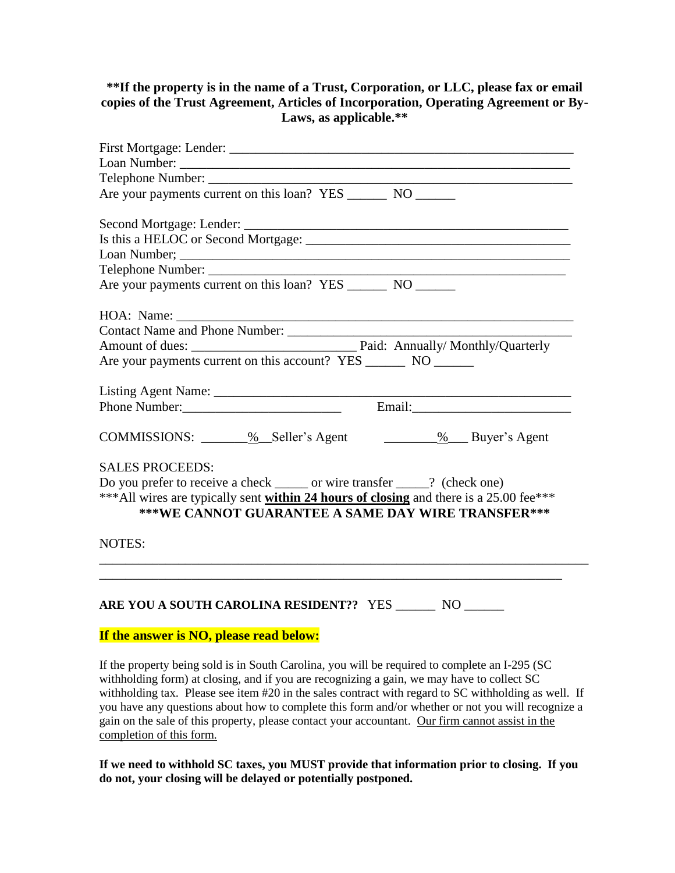## **\*\*If the property is in the name of a Trust, Corporation, or LLC, please fax or email copies of the Trust Agreement, Articles of Incorporation, Operating Agreement or By-Laws, as applicable.\*\***

| Are your payments current on this loan? YES _________ NO _______                                                                              |
|-----------------------------------------------------------------------------------------------------------------------------------------------|
|                                                                                                                                               |
|                                                                                                                                               |
|                                                                                                                                               |
|                                                                                                                                               |
| Are your payments current on this loan? YES _________ NO _______                                                                              |
|                                                                                                                                               |
|                                                                                                                                               |
|                                                                                                                                               |
| Are your payments current on this account? YES ________ NO _______                                                                            |
|                                                                                                                                               |
|                                                                                                                                               |
| COMMISSIONS: ______ % _Seller's Agent _______ % __Buyer's Agent                                                                               |
| <b>SALES PROCEEDS:</b>                                                                                                                        |
| Do you prefer to receive a check ______ or wire transfer _____? (check one)                                                                   |
| *** All wires are typically sent within 24 hours of closing and there is a 25.00 fee***<br>***WE CANNOT GUARANTEE A SAME DAY WIRE TRANSFER*** |
| <b>NOTES:</b>                                                                                                                                 |
|                                                                                                                                               |
| ARE YOU A SOUTH CAROLINA RESIDENT?? YES _______ NO ______                                                                                     |

## **If the answer is NO, please read below:**

If the property being sold is in South Carolina, you will be required to complete an I-295 (SC withholding form) at closing, and if you are recognizing a gain, we may have to collect SC withholding tax. Please see item #20 in the sales contract with regard to SC withholding as well. If you have any questions about how to complete this form and/or whether or not you will recognize a gain on the sale of this property, please contact your accountant. Our firm cannot assist in the completion of this form.

**If we need to withhold SC taxes, you MUST provide that information prior to closing. If you do not, your closing will be delayed or potentially postponed.**